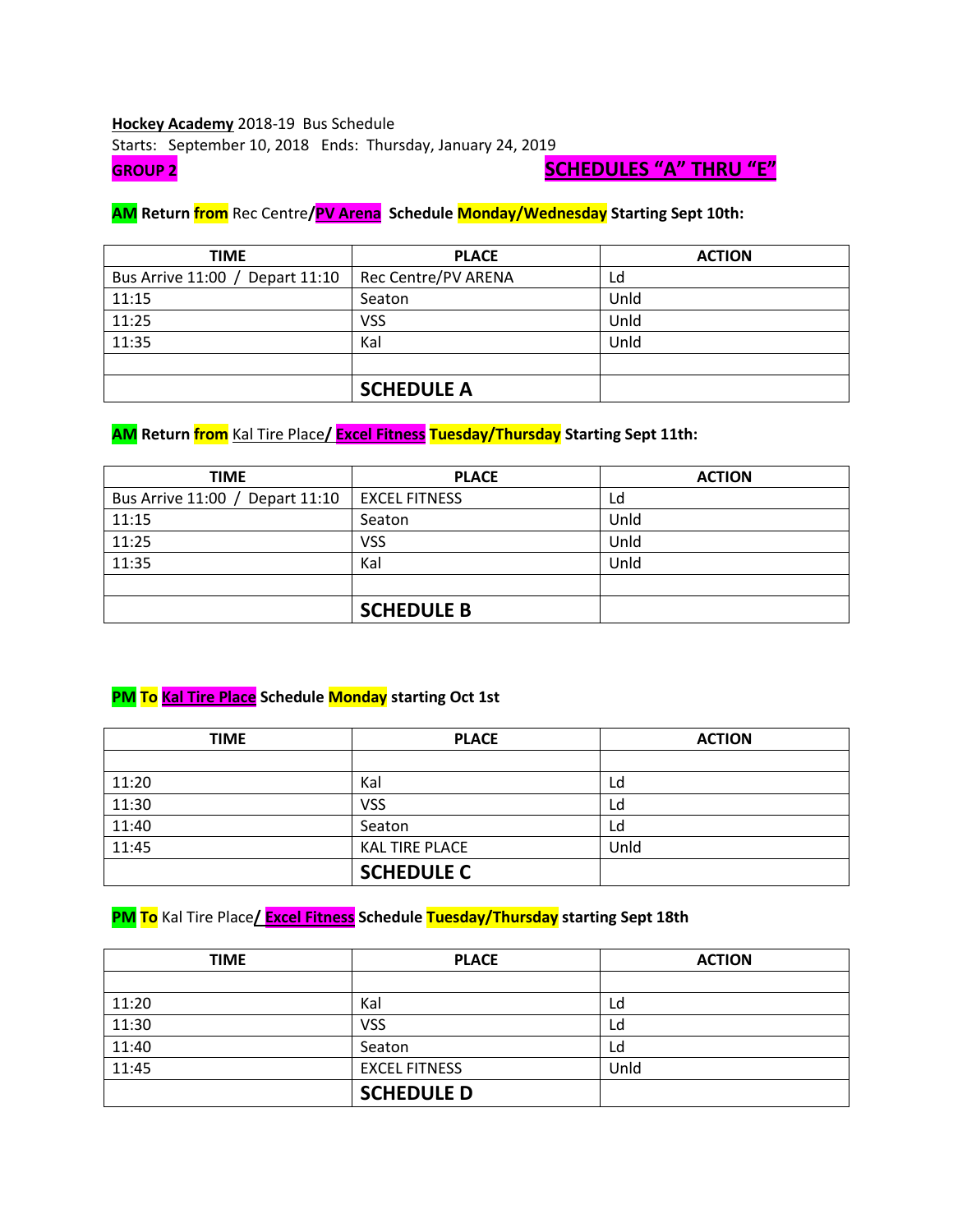### **Hockey Academy** 2018-19 Bus Schedule Starts: September 10, 2018 Ends: Thursday, January 24, 2019 **GROUP 2 SCHEDULES "A" THRU "E"**

#### **AM Return from** Rec Centre**/PV Arena Schedule Monday/Wednesday Starting Sept 10th:**

| <b>TIME</b>                     | <b>PLACE</b>        | <b>ACTION</b> |
|---------------------------------|---------------------|---------------|
| Bus Arrive 11:00 / Depart 11:10 | Rec Centre/PV ARENA | Ld            |
| 11:15                           | Seaton              | Unld          |
| 11:25                           | <b>VSS</b>          | Unld          |
| 11:35                           | Kal                 | Unld          |
|                                 |                     |               |
|                                 | <b>SCHEDULE A</b>   |               |

# **AM Return from** Kal Tire Place**/ Excel Fitness Tuesday/Thursday Starting Sept 11th:**

| <b>TIME</b>                     | <b>PLACE</b>         | <b>ACTION</b> |
|---------------------------------|----------------------|---------------|
| Bus Arrive 11:00 / Depart 11:10 | <b>EXCEL FITNESS</b> | Ld            |
| 11:15                           | Seaton               | Unld          |
| 11:25                           | <b>VSS</b>           | Unld          |
| 11:35                           | Kal                  | Unld          |
|                                 |                      |               |
|                                 | <b>SCHEDULE B</b>    |               |

# **PM To Kal Tire Place Schedule Monday starting Oct 1st**

| <b>TIME</b> | <b>PLACE</b>          | <b>ACTION</b> |
|-------------|-----------------------|---------------|
|             |                       |               |
| 11:20       | Kal                   | Ld            |
| 11:30       | <b>VSS</b>            | Ld            |
| 11:40       | Seaton                | Ld            |
| 11:45       | <b>KAL TIRE PLACE</b> | Unld          |
|             | <b>SCHEDULE C</b>     |               |

### **PM To** Kal Tire Place**/ Excel Fitness Schedule Tuesday/Thursday starting Sept 18th**

| <b>TIME</b> | <b>PLACE</b>         | <b>ACTION</b> |
|-------------|----------------------|---------------|
|             |                      |               |
| 11:20       | Kal                  | Ld            |
| 11:30       | VSS                  | Ld            |
| 11:40       | Seaton               | Ld            |
| 11:45       | <b>EXCEL FITNESS</b> | Unld          |
|             | <b>SCHEDULE D</b>    |               |